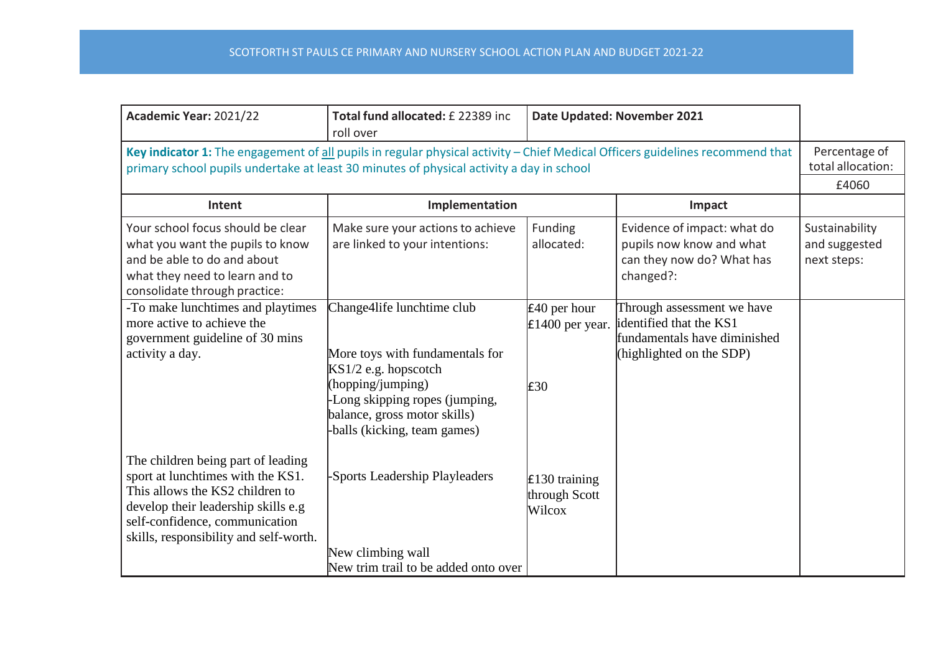| Academic Year: 2021/22                                                                                                                                                                                                        | Total fund allocated: £ 22389 inc<br>roll over                                                               | Date Updated: November 2021                     |                                                                                                                   |                                                |
|-------------------------------------------------------------------------------------------------------------------------------------------------------------------------------------------------------------------------------|--------------------------------------------------------------------------------------------------------------|-------------------------------------------------|-------------------------------------------------------------------------------------------------------------------|------------------------------------------------|
| Key indicator 1: The engagement of all pupils in regular physical activity - Chief Medical Officers guidelines recommend that<br>primary school pupils undertake at least 30 minutes of physical activity a day in school     |                                                                                                              |                                                 |                                                                                                                   | Percentage of<br>total allocation:<br>£4060    |
| Intent                                                                                                                                                                                                                        | Implementation                                                                                               |                                                 | Impact                                                                                                            |                                                |
| Your school focus should be clear<br>what you want the pupils to know<br>and be able to do and about<br>what they need to learn and to<br>consolidate through practice:                                                       | Make sure your actions to achieve<br>are linked to your intentions:                                          | Funding<br>allocated:                           | Evidence of impact: what do<br>pupils now know and what<br>can they now do? What has<br>changed?:                 | Sustainability<br>and suggested<br>next steps: |
| -To make lunchtimes and playtimes<br>more active to achieve the<br>government guideline of 30 mins<br>activity a day.                                                                                                         | Change4life lunchtime club<br>More toys with fundamentals for<br>$KS1/2$ e.g. hopscotch<br>(hopping/jumping) | $\pounds$ 40 per hour<br>£1400 per year.<br>E30 | Through assessment we have<br>identified that the KS1<br>fundamentals have diminished<br>(highlighted on the SDP) |                                                |
|                                                                                                                                                                                                                               | -Long skipping ropes (jumping,<br>balance, gross motor skills)<br>-balls (kicking, team games)               |                                                 |                                                                                                                   |                                                |
| The children being part of leading<br>sport at lunchtimes with the KS1.<br>This allows the KS2 children to<br>develop their leadership skills e.g<br>self-confidence, communication<br>skills, responsibility and self-worth. | -Sports Leadership Playleaders                                                                               | £130 training<br>through Scott<br>Wilcox        |                                                                                                                   |                                                |
|                                                                                                                                                                                                                               | New climbing wall<br>New trim trail to be added onto over                                                    |                                                 |                                                                                                                   |                                                |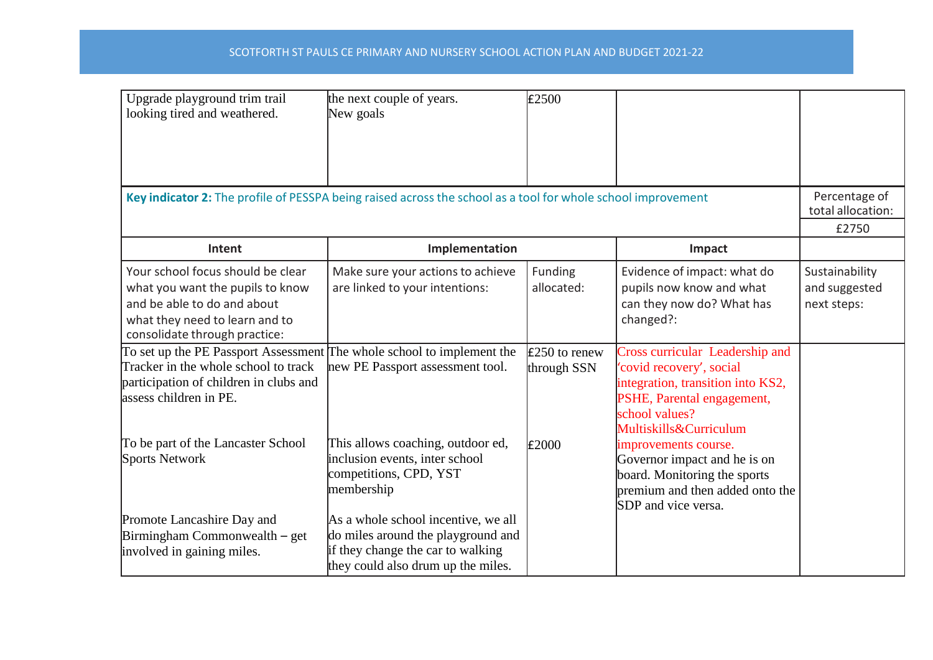## SCOTFORTH ST PAULS CE PRIMARY AND NURSERY SCHOOL ACTION PLAN AND BUDGET 2021-22

| Upgrade playground trim trail<br>looking tired and weathered.                                                                                                                      | the next couple of years.<br>New goals                                                                                                               | £2500                          |                                                                                                                                                                            |                                                |
|------------------------------------------------------------------------------------------------------------------------------------------------------------------------------------|------------------------------------------------------------------------------------------------------------------------------------------------------|--------------------------------|----------------------------------------------------------------------------------------------------------------------------------------------------------------------------|------------------------------------------------|
| Key indicator 2: The profile of PESSPA being raised across the school as a tool for whole school improvement                                                                       |                                                                                                                                                      |                                |                                                                                                                                                                            | Percentage of<br>total allocation:<br>£2750    |
| Intent                                                                                                                                                                             | Implementation                                                                                                                                       |                                | Impact                                                                                                                                                                     |                                                |
| Your school focus should be clear<br>what you want the pupils to know<br>and be able to do and about<br>what they need to learn and to<br>consolidate through practice:            | Make sure your actions to achieve<br>are linked to your intentions:                                                                                  | <b>Funding</b><br>allocated:   | Evidence of impact: what do<br>pupils now know and what<br>can they now do? What has<br>changed?:                                                                          | Sustainability<br>and suggested<br>next steps: |
| To set up the PE Passport Assessment The whole school to implement the<br>Tracker in the whole school to track<br>participation of children in clubs and<br>assess children in PE. | new PE Passport assessment tool.                                                                                                                     | $£250$ to renew<br>through SSN | Cross curricular Leadership and<br>'covid recovery', social<br>integration, transition into KS2,<br>PSHE, Parental engagement,<br>school values?<br>Multiskills&Curriculum |                                                |
| To be part of the Lancaster School<br><b>Sports Network</b>                                                                                                                        | This allows coaching, outdoor ed,<br>inclusion events, inter school<br>competitions, CPD, YST<br>membership                                          | £2000                          | improvements course.<br>Governor impact and he is on<br>board. Monitoring the sports<br>premium and then added onto the<br>SDP and vice versa.                             |                                                |
| Promote Lancashire Day and<br>Birmingham Commonwealth – get<br>involved in gaining miles.                                                                                          | As a whole school incentive, we all<br>do miles around the playground and<br>if they change the car to walking<br>they could also drum up the miles. |                                |                                                                                                                                                                            |                                                |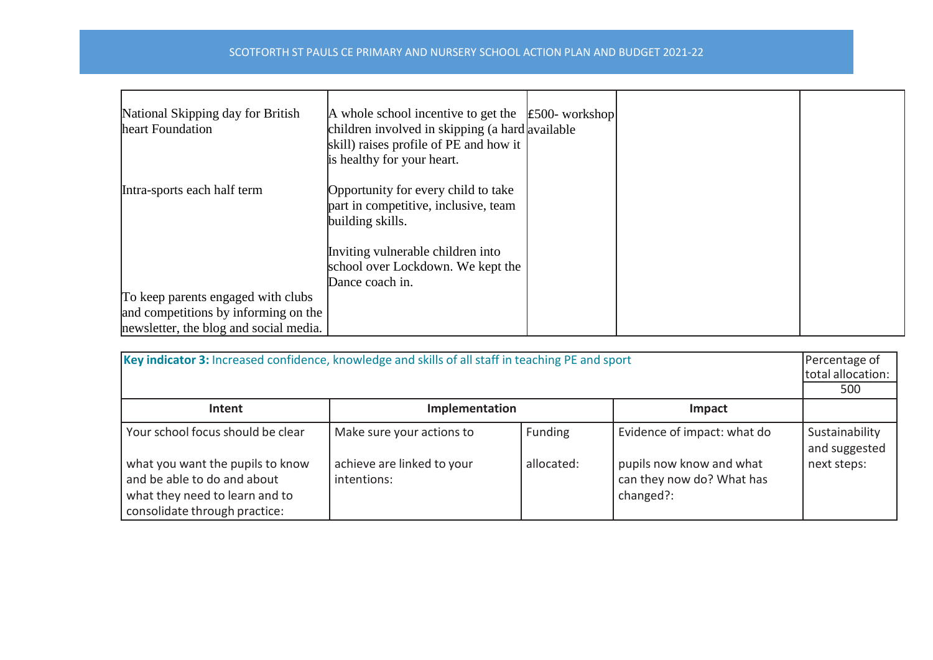## SCOTFORTH ST PAULS CE PRIMARY AND NURSERY SCHOOL ACTION PLAN AND BUDGET 2021-22

| National Skipping day for British<br>heart Foundation | A whole school incentive to get the $\left  \text{\pounds}500 \text{-}$ workshop<br>children involved in skipping (a hard available<br>skill) raises profile of PE and how it<br>is healthy for your heart. |  |  |
|-------------------------------------------------------|-------------------------------------------------------------------------------------------------------------------------------------------------------------------------------------------------------------|--|--|
| Intra-sports each half term                           | Opportunity for every child to take<br>part in competitive, inclusive, team<br>building skills.                                                                                                             |  |  |
|                                                       | Inviting vulnerable children into<br>school over Lockdown. We kept the<br>Dance coach in.                                                                                                                   |  |  |
| To keep parents engaged with clubs                    |                                                                                                                                                                                                             |  |  |
| and competitions by informing on the                  |                                                                                                                                                                                                             |  |  |
| newsletter, the blog and social media.                |                                                                                                                                                                                                             |  |  |

| Key indicator 3: Increased confidence, knowledge and skills of all staff in teaching PE and sport<br>Percentage of<br>total allocation: |                                           |            |                                                                    |                                 |
|-----------------------------------------------------------------------------------------------------------------------------------------|-------------------------------------------|------------|--------------------------------------------------------------------|---------------------------------|
| Implementation<br>Intent<br>Impact                                                                                                      |                                           |            |                                                                    |                                 |
| Your school focus should be clear                                                                                                       | Make sure your actions to                 | Funding    | Evidence of impact: what do                                        | Sustainability<br>and suggested |
| what you want the pupils to know<br>and be able to do and about<br>what they need to learn and to<br>consolidate through practice:      | achieve are linked to your<br>intentions: | allocated: | pupils now know and what<br>can they now do? What has<br>changed?: | next steps:                     |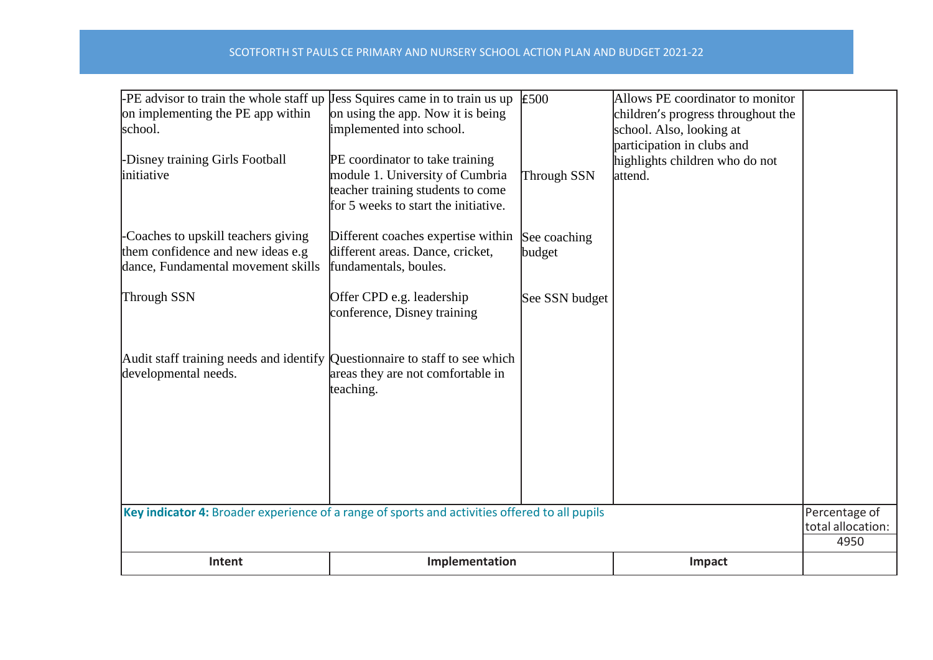| Intent                                                                                                        | Implementation                                                                                  |                        | Impact                                                                  |                           |
|---------------------------------------------------------------------------------------------------------------|-------------------------------------------------------------------------------------------------|------------------------|-------------------------------------------------------------------------|---------------------------|
| Key indicator 4: Broader experience of a range of sports and activities offered to all pupils                 |                                                                                                 |                        |                                                                         | total allocation:<br>4950 |
|                                                                                                               |                                                                                                 | Percentage of          |                                                                         |                           |
|                                                                                                               |                                                                                                 |                        |                                                                         |                           |
| developmental needs.                                                                                          | areas they are not comfortable in<br>teaching.                                                  |                        |                                                                         |                           |
| Audit staff training needs and identify Questionnaire to staff to see which                                   |                                                                                                 |                        |                                                                         |                           |
| Through SSN                                                                                                   | Offer CPD e.g. leadership<br>conference, Disney training                                        | See SSN budget         |                                                                         |                           |
| Coaches to upskill teachers giving<br>them confidence and new ideas e.g<br>dance, Fundamental movement skills | Different coaches expertise within<br>different areas. Dance, cricket,<br>fundamentals, boules. | See coaching<br>budget |                                                                         |                           |
|                                                                                                               | teacher training students to come<br>for 5 weeks to start the initiative.                       |                        |                                                                         |                           |
| -Disney training Girls Football<br>initiative                                                                 | PE coordinator to take training<br>module 1. University of Cumbria                              | Through SSN            | participation in clubs and<br>highlights children who do not<br>attend. |                           |
| on implementing the PE app within<br>school.                                                                  | on using the app. Now it is being<br>implemented into school.                                   |                        | children's progress throughout the<br>school. Also, looking at          |                           |
| $-PE$ advisor to train the whole staff up $\mu$ Jess Squires came in to train us up                           |                                                                                                 | £500                   | Allows PE coordinator to monitor                                        |                           |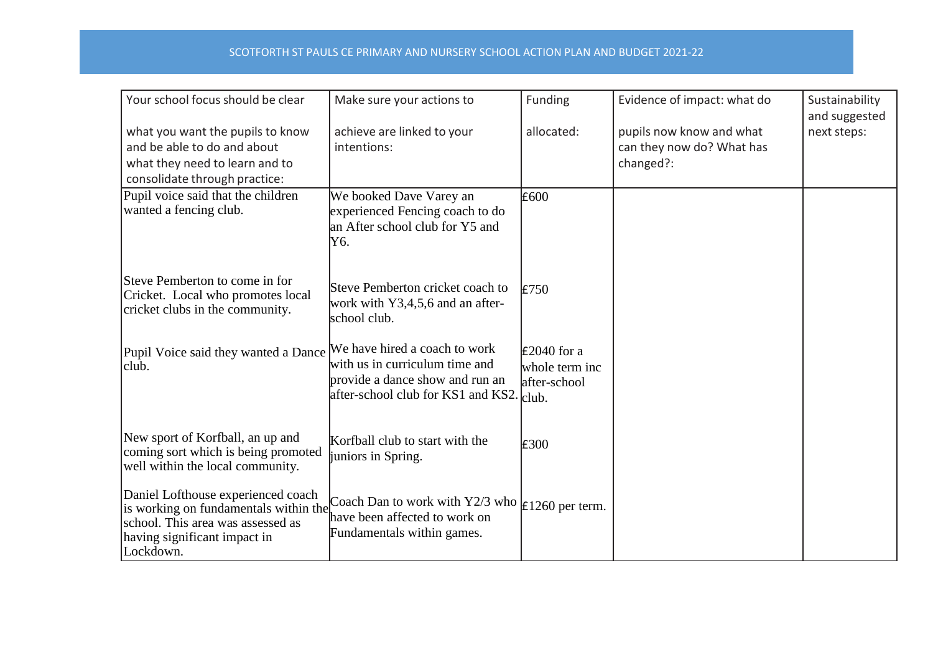## SCOTFORTH ST PAULS CE PRIMARY AND NURSERY SCHOOL ACTION PLAN AND BUDGET 2021-22

| Your school focus should be clear                                                                                                                             | Make sure your actions to                                                                                              | Funding                                                      | Evidence of impact: what do                                        | Sustainability<br>and suggested |
|---------------------------------------------------------------------------------------------------------------------------------------------------------------|------------------------------------------------------------------------------------------------------------------------|--------------------------------------------------------------|--------------------------------------------------------------------|---------------------------------|
| what you want the pupils to know<br>and be able to do and about<br>what they need to learn and to<br>consolidate through practice:                            | achieve are linked to your<br>intentions:                                                                              | allocated:                                                   | pupils now know and what<br>can they now do? What has<br>changed?: | next steps:                     |
| Pupil voice said that the children<br>wanted a fencing club.                                                                                                  | We booked Dave Varey an<br>experienced Fencing coach to do<br>an After school club for Y5 and<br>Y6.                   | £600                                                         |                                                                    |                                 |
| Steve Pemberton to come in for<br>Cricket. Local who promotes local<br>cricket clubs in the community.                                                        | Steve Pemberton cricket coach to<br>work with Y3,4,5,6 and an after-<br>school club.                                   | E750                                                         |                                                                    |                                 |
| Pupil Voice said they wanted a Dance We have hired a coach to work<br>club.                                                                                   | with us in curriculum time and<br>provide a dance show and run an<br>after-school club for KS1 and KS2. club.          | $\text{\pounds}2040$ for a<br>whole term inc<br>after-school |                                                                    |                                 |
| New sport of Korfball, an up and<br>coming sort which is being promoted<br>well within the local community.                                                   | Korfball club to start with the<br>juniors in Spring.                                                                  | E300                                                         |                                                                    |                                 |
| Daniel Lofthouse experienced coach<br>is working on fundamentals within the<br>school. This area was assessed as<br>having significant impact in<br>Lockdown. | Coach Dan to work with Y2/3 who $\vert$ £1260 per term.<br>have been affected to work on<br>Fundamentals within games. |                                                              |                                                                    |                                 |